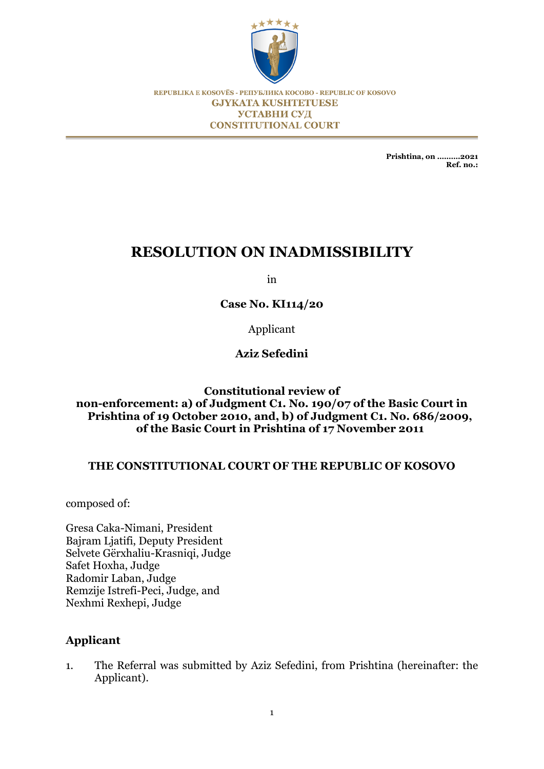

REPUBLIKA E KOSOVËS - РЕПУБЛИКА КОСОВО - REPUBLIC OF KOSOVO **GJYKATA KUSHTETUESE** УСТАВНИ СУД **CONSTITUTIONAL COURT** 

> **Prishtina, on ……….2021 Ref. no.:**

# **RESOLUTION ON INADMISSIBILITY**

in

**Case No. KI114/20**

Applicant

**Aziz Sefedini**

## **Constitutional review of non-enforcement: a) of Judgment C1. No. 190/07 of the Basic Court in Prishtina of 19 October 2010, and, b) of Judgment C1. No. 686/2009, of the Basic Court in Prishtina of 17 November 2011**

# **THE CONSTITUTIONAL COURT OF THE REPUBLIC OF KOSOVO**

composed of:

Gresa Caka-Nimani, President Bajram Ljatifi, Deputy President Selvete Gërxhaliu-Krasniqi, Judge Safet Hoxha, Judge Radomir Laban, Judge Remzije Istrefi-Peci, Judge, and Nexhmi Rexhepi, Judge

# **Applicant**

1. The Referral was submitted by Aziz Sefedini, from Prishtina (hereinafter: the Applicant).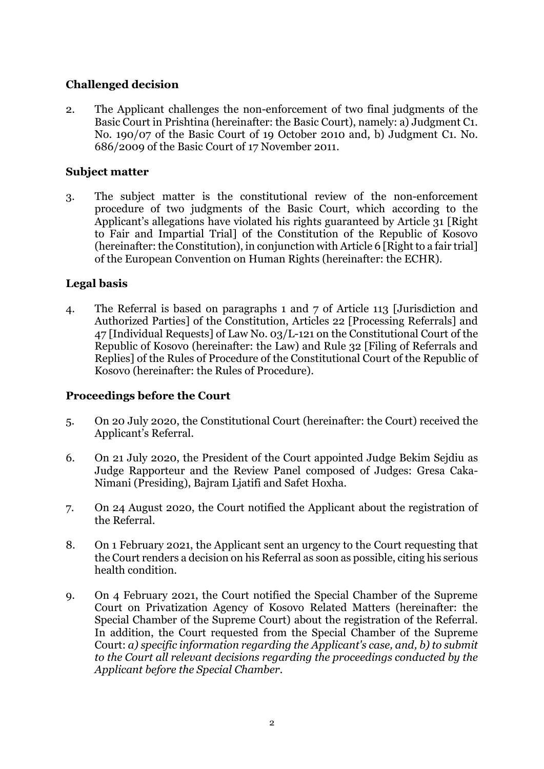# **Challenged decision**

2. The Applicant challenges the non-enforcement of two final judgments of the Basic Court in Prishtina (hereinafter: the Basic Court), namely: a) Judgment C1. No. 190/07 of the Basic Court of 19 October 2010 and, b) Judgment C1. No. 686/2009 of the Basic Court of 17 November 2011.

# **Subject matter**

3. The subject matter is the constitutional review of the non-enforcement procedure of two judgments of the Basic Court, which according to the Applicant's allegations have violated his rights guaranteed by Article 31 [Right to Fair and Impartial Trial] of the Constitution of the Republic of Kosovo (hereinafter: the Constitution), in conjunction with Article 6 [Right to a fair trial] of the European Convention on Human Rights (hereinafter: the ECHR).

# **Legal basis**

4. The Referral is based on paragraphs 1 and 7 of Article 113 [Jurisdiction and Authorized Parties] of the Constitution, Articles 22 [Processing Referrals] and 47 [Individual Requests] of Law No. 03/L-121 on the Constitutional Court of the Republic of Kosovo (hereinafter: the Law) and Rule 32 [Filing of Referrals and Replies] of the Rules of Procedure of the Constitutional Court of the Republic of Kosovo (hereinafter: the Rules of Procedure).

# **Proceedings before the Court**

- 5. On 20 July 2020, the Constitutional Court (hereinafter: the Court) received the Applicant's Referral.
- 6. On 21 July 2020, the President of the Court appointed Judge Bekim Sejdiu as Judge Rapporteur and the Review Panel composed of Judges: Gresa Caka-Nimani (Presiding), Bajram Ljatifi and Safet Hoxha.
- 7. On 24 August 2020, the Court notified the Applicant about the registration of the Referral.
- 8. On 1 February 2021, the Applicant sent an urgency to the Court requesting that the Court renders a decision on his Referral as soon as possible, citing his serious health condition.
- 9. On 4 February 2021, the Court notified the Special Chamber of the Supreme Court on Privatization Agency of Kosovo Related Matters (hereinafter: the Special Chamber of the Supreme Court) about the registration of the Referral. In addition, the Court requested from the Special Chamber of the Supreme Court: *a) specific information regarding the Applicant's case, and, b) to submit to the Court all relevant decisions regarding the proceedings conducted by the Applicant before the Special Chamber.*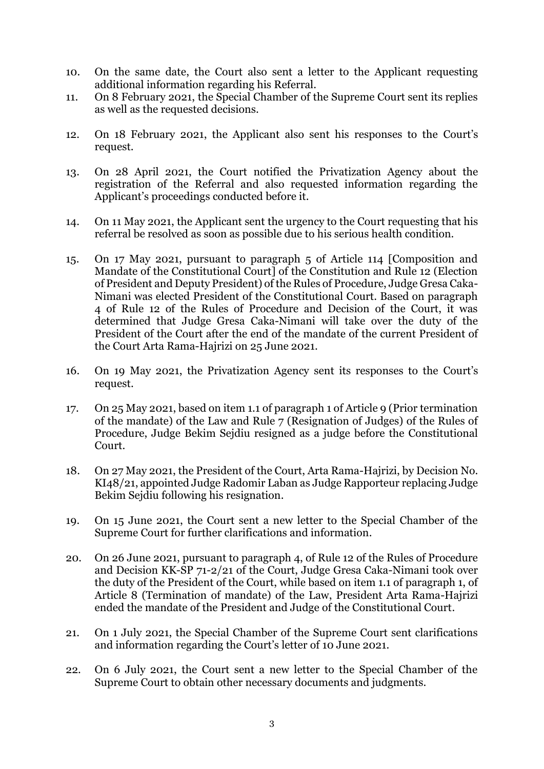- 10. On the same date, the Court also sent a letter to the Applicant requesting additional information regarding his Referral.
- 11. On 8 February 2021, the Special Chamber of the Supreme Court sent its replies as well as the requested decisions.
- 12. On 18 February 2021, the Applicant also sent his responses to the Court's request.
- 13. On 28 April 2021, the Court notified the Privatization Agency about the registration of the Referral and also requested information regarding the Applicant's proceedings conducted before it.
- 14. On 11 May 2021, the Applicant sent the urgency to the Court requesting that his referral be resolved as soon as possible due to his serious health condition.
- 15. On 17 May 2021, pursuant to paragraph 5 of Article 114 [Composition and Mandate of the Constitutional Court] of the Constitution and Rule 12 (Election of President and Deputy President) of the Rules of Procedure, Judge Gresa Caka-Nimani was elected President of the Constitutional Court. Based on paragraph 4 of Rule 12 of the Rules of Procedure and Decision of the Court, it was determined that Judge Gresa Caka-Nimani will take over the duty of the President of the Court after the end of the mandate of the current President of the Court Arta Rama-Hajrizi on 25 June 2021.
- 16. On 19 May 2021, the Privatization Agency sent its responses to the Court's request.
- 17. On 25 May 2021, based on item 1.1 of paragraph 1 of Article 9 (Prior termination of the mandate) of the Law and Rule 7 (Resignation of Judges) of the Rules of Procedure, Judge Bekim Sejdiu resigned as a judge before the Constitutional Court.
- 18. On 27 May 2021, the President of the Court, Arta Rama-Hajrizi, by Decision No. KI48/21, appointed Judge Radomir Laban as Judge Rapporteur replacing Judge Bekim Sejdiu following his resignation.
- 19. On 15 June 2021, the Court sent a new letter to the Special Chamber of the Supreme Court for further clarifications and information.
- 20. On 26 June 2021, pursuant to paragraph 4, of Rule 12 of the Rules of Procedure and Decision KK-SP 71-2/21 of the Court, Judge Gresa Caka-Nimani took over the duty of the President of the Court, while based on item 1.1 of paragraph 1, of Article 8 (Termination of mandate) of the Law, President Arta Rama-Hajrizi ended the mandate of the President and Judge of the Constitutional Court.
- 21. On 1 July 2021, the Special Chamber of the Supreme Court sent clarifications and information regarding the Court's letter of 10 June 2021.
- 22. On 6 July 2021, the Court sent a new letter to the Special Chamber of the Supreme Court to obtain other necessary documents and judgments.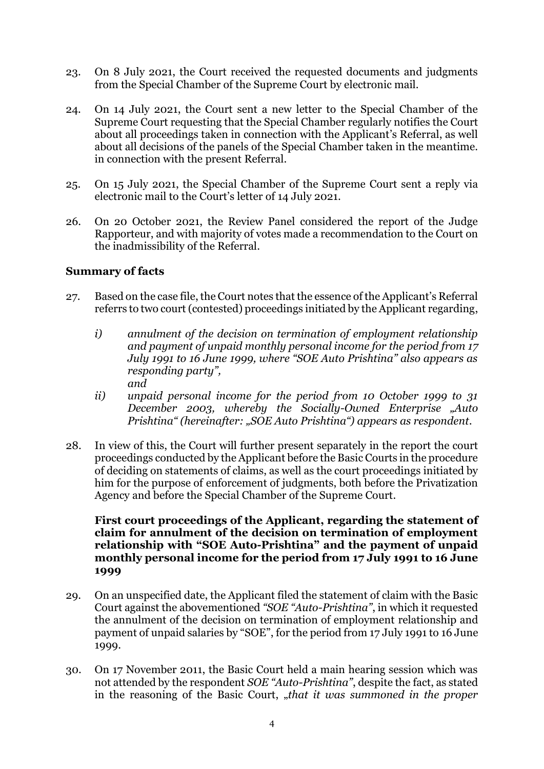- 23. On 8 July 2021, the Court received the requested documents and judgments from the Special Chamber of the Supreme Court by electronic mail.
- 24. On 14 July 2021, the Court sent a new letter to the Special Chamber of the Supreme Court requesting that the Special Chamber regularly notifies the Court about all proceedings taken in connection with the Applicant's Referral, as well about all decisions of the panels of the Special Chamber taken in the meantime. in connection with the present Referral.
- 25. On 15 July 2021, the Special Chamber of the Supreme Court sent a reply via electronic mail to the Court's letter of 14 July 2021.
- 26. On 20 October 2021, the Review Panel considered the report of the Judge Rapporteur, and with majority of votes made a recommendation to the Court on the inadmissibility of the Referral.

## **Summary of facts**

- 27. Based on the case file, the Court notes that the essence of the Applicant's Referral referrs to two court (contested) proceedings initiated by the Applicant regarding,
	- *i) annulment of the decision on termination of employment relationship and payment of unpaid monthly personal income for the period from 17 July 1991 to 16 June 1999, where "SOE Auto Prishtina" also appears as responding party", and*
	- *ii) unpaid personal income for the period from 10 October 1999 to 31 December 2003, whereby the Socially-Owned Enterprise "Auto Prishtina" (hereinafter: "SOE Auto Prishtina") appears as respondent.*
- 28. In view of this, the Court will further present separately in the report the court proceedings conducted by the Applicant before the Basic Courts in the procedure of deciding on statements of claims, as well as the court proceedings initiated by him for the purpose of enforcement of judgments, both before the Privatization Agency and before the Special Chamber of the Supreme Court.

#### **First court proceedings of the Applicant, regarding the statement of claim for annulment of the decision on termination of employment relationship with "SOE Auto-Prishtina" and the payment of unpaid monthly personal income for the period from 17 July 1991 to 16 June 1999**

- 29. On an unspecified date, the Applicant filed the statement of claim with the Basic Court against the abovementioned *"SOE "Auto-Prishtina"*, in which it requested the annulment of the decision on termination of employment relationship and payment of unpaid salaries by "SOE", for the period from 17 July 1991 to 16 June 1999.
- 30. On 17 November 2011, the Basic Court held a main hearing session which was not attended by the respondent *SOE "Auto-Prishtina"*, despite the fact, as stated in the reasoning of the Basic Court, *"that it was summoned in the proper*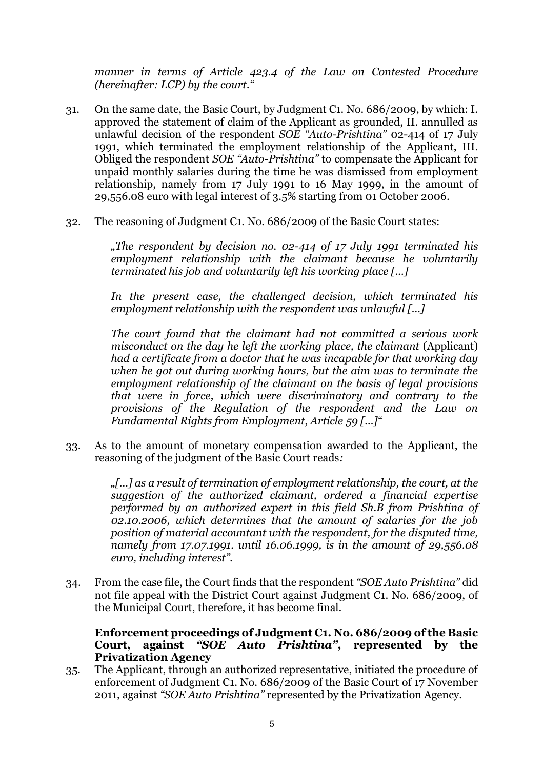*manner in terms of Article 423.4 of the Law on Contested Procedure (hereinafter: LCP) by the court."*

- 31. On the same date, the Basic Court, by Judgment C1. No. 686/2009, by which: I. approved the statement of claim of the Applicant as grounded, II. annulled as unlawful decision of the respondent *SOE "Auto-Prishtina"* 02-414 of 17 July 1991, which terminated the employment relationship of the Applicant, III. Obliged the respondent *SOE "Auto-Prishtina"* to compensate the Applicant for unpaid monthly salaries during the time he was dismissed from employment relationship, namely from 17 July 1991 to 16 May 1999, in the amount of 29,556.08 euro with legal interest of 3.5% starting from 01 October 2006.
- 32. The reasoning of Judgment C1. No. 686/2009 of the Basic Court states:

*"The respondent by decision no. 02-414 of 17 July 1991 terminated his employment relationship with the claimant because he voluntarily terminated his job and voluntarily left his working place […]*

*In the present case, the challenged decision, which terminated his employment relationship with the respondent was unlawful […]*

*The court found that the claimant had not committed a serious work misconduct on the day he left the working place, the claimant* (Applicant) *had a certificate from a doctor that he was incapable for that working day when he got out during working hours, but the aim was to terminate the employment relationship of the claimant on the basis of legal provisions that were in force, which were discriminatory and contrary to the provisions of the Regulation of the respondent and the Law on Fundamental Rights from Employment, Article 59 […]"*

33. As to the amount of monetary compensation awarded to the Applicant, the reasoning of the judgment of the Basic Court reads*:*

> *"[…] as a result of termination of employment relationship, the court, at the suggestion of the authorized claimant, ordered a financial expertise performed by an authorized expert in this field Sh.B from Prishtina of 02.10.2006, which determines that the amount of salaries for the job position of material accountant with the respondent, for the disputed time, namely from 17.07.1991. until 16.06.1999, is in the amount of 29,556.08 euro, including interest".*

34. From the case file, the Court finds that the respondent *"SOE Auto Prishtina"* did not file appeal with the District Court against Judgment C1. No. 686/2009, of the Municipal Court, therefore, it has become final.

## **Enforcement proceedings of Judgment C1. No. 686/2009 of the Basic Court, against** *"SOE Auto Prishtina"***, represented by the Privatization Agency**

35. The Applicant, through an authorized representative, initiated the procedure of enforcement of Judgment C1. No. 686/2009 of the Basic Court of 17 November 2011, against *"SOE Auto Prishtina"* represented by the Privatization Agency.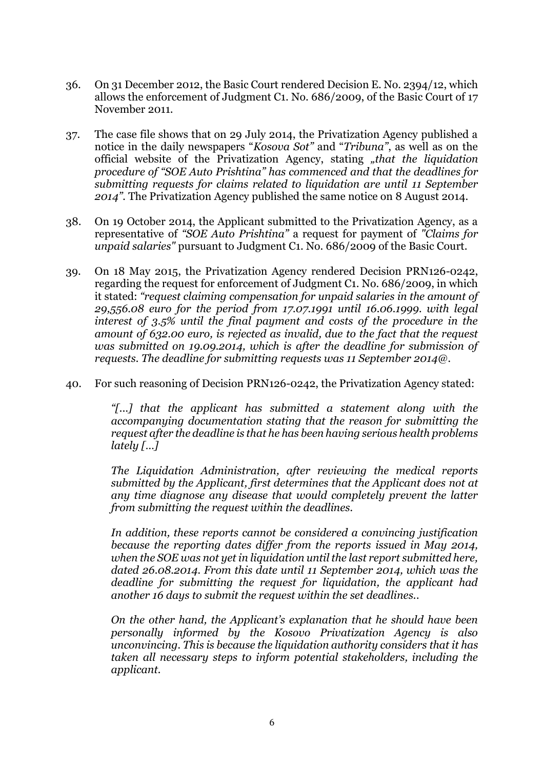- 36. On 31 December 2012, the Basic Court rendered Decision E. No. 2394/12, which allows the enforcement of Judgment C1. No. 686/2009, of the Basic Court of 17 November 2011.
- 37. The case file shows that on 29 July 2014, the Privatization Agency published a notice in the daily newspapers "*Kosova Sot"* and "*Tribuna"*, as well as on the official website of the Privatization Agency, stating "that the liquidation *procedure of "SOE Auto Prishtina" has commenced and that the deadlines for submitting requests for claims related to liquidation are until 11 September 2014".* The Privatization Agency published the same notice on 8 August 2014.
- 38. On 19 October 2014, the Applicant submitted to the Privatization Agency, as a representative of *"SOE Auto Prishtina"* a request for payment of *"Claims for unpaid salaries"* pursuant to Judgment C1. No. 686/2009 of the Basic Court.
- 39. On 18 May 2015, the Privatization Agency rendered Decision PRN126-0242, regarding the request for enforcement of Judgment C1. No. 686/2009, in which it stated: *"request claiming compensation for unpaid salaries in the amount of 29,556.08 euro for the period from 17.07.1991 until 16.06.1999. with legal interest of 3.5% until the final payment and costs of the procedure in the amount of 632.00 euro, is rejected as invalid, due to the fact that the request was submitted on 19.09.2014, which is after the deadline for submission of requests. The deadline for submitting requests was 11 September 2014@.*
- 40. For such reasoning of Decision PRN126-0242, the Privatization Agency stated:

*"[...] that the applicant has submitted a statement along with the accompanying documentation stating that the reason for submitting the request after the deadline is that he has been having serious health problems lately […]*

*The Liquidation Administration, after reviewing the medical reports submitted by the Applicant, first determines that the Applicant does not at any time diagnose any disease that would completely prevent the latter from submitting the request within the deadlines.*

*In addition, these reports cannot be considered a convincing justification because the reporting dates differ from the reports issued in May 2014, when the SOE was not yet in liquidation until the last report submitted here, dated 26.08.2014. From this date until 11 September 2014, which was the deadline for submitting the request for liquidation, the applicant had another 16 days to submit the request within the set deadlines..*

*On the other hand, the Applicant's explanation that he should have been personally informed by the Kosovo Privatization Agency is also unconvincing. This is because the liquidation authority considers that it has taken all necessary steps to inform potential stakeholders, including the applicant.*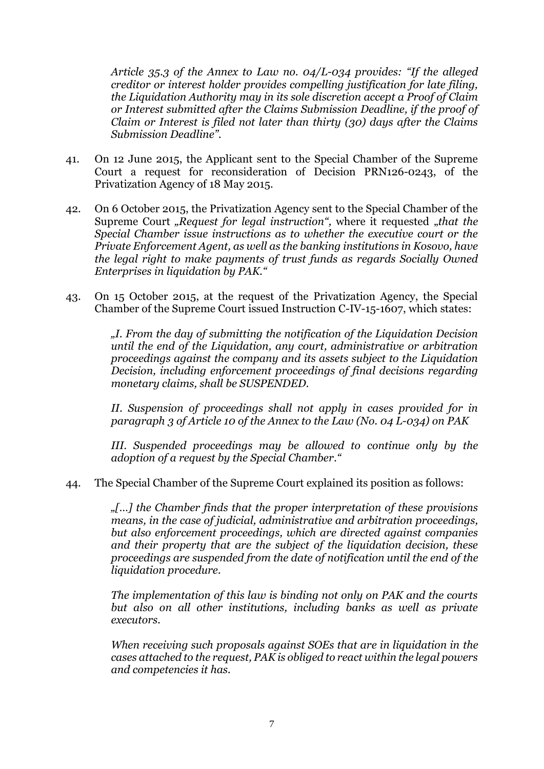*Article 35.3 of the Annex to Law no. 04/L-034 provides: "If the alleged creditor or interest holder provides compelling justification for late filing, the Liquidation Authority may in its sole discretion accept a Proof of Claim or Interest submitted after the Claims Submission Deadline, if the proof of Claim or Interest is filed not later than thirty (30) days after the Claims Submission Deadline".*

- 41. On 12 June 2015, the Applicant sent to the Special Chamber of the Supreme Court a request for reconsideration of Decision PRN126-0243, of the Privatization Agency of 18 May 2015.
- 42. On 6 October 2015, the Privatization Agency sent to the Special Chamber of the Supreme Court "Request for legal instruction", where it requested "that the *Special Chamber issue instructions as to whether the executive court or the Private Enforcement Agent, as well as the banking institutions in Kosovo, have the legal right to make payments of trust funds as regards Socially Owned Enterprises in liquidation by PAK."*
- 43. On 15 October 2015, at the request of the Privatization Agency, the Special Chamber of the Supreme Court issued Instruction C-IV-15-1607, which states:

*"I. From the day of submitting the notification of the Liquidation Decision until the end of the Liquidation, any court, administrative or arbitration proceedings against the company and its assets subject to the Liquidation Decision, including enforcement proceedings of final decisions regarding monetary claims, shall be SUSPENDED.*

*II. Suspension of proceedings shall not apply in cases provided for in paragraph 3 of Article 10 of the Annex to the Law (No. 04 L-034) on PAK*

*III. Suspended proceedings may be allowed to continue only by the adoption of a request by the Special Chamber."*

44. The Special Chamber of the Supreme Court explained its position as follows:

*"[…] the Chamber finds that the proper interpretation of these provisions means, in the case of judicial, administrative and arbitration proceedings, but also enforcement proceedings, which are directed against companies and their property that are the subject of the liquidation decision, these proceedings are suspended from the date of notification until the end of the liquidation procedure.*

*The implementation of this law is binding not only on PAK and the courts but also on all other institutions, including banks as well as private executors.*

*When receiving such proposals against SOEs that are in liquidation in the cases attached to the request, PAK is obliged to react within the legal powers and competencies it has.*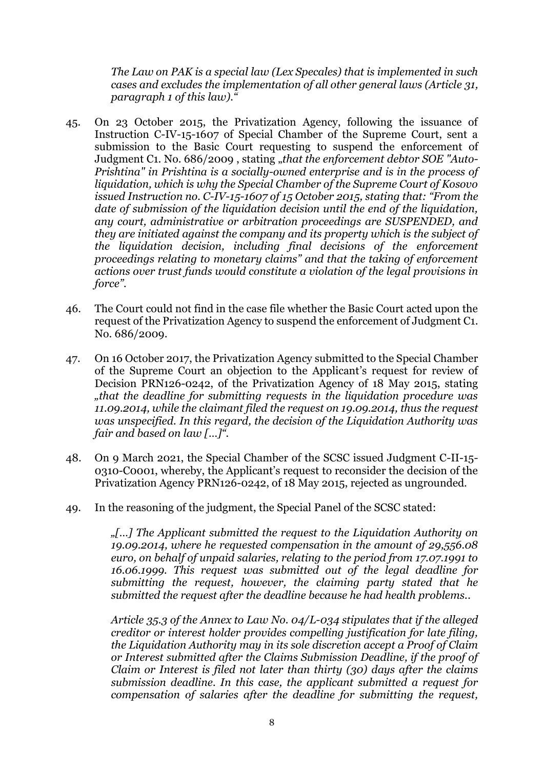*The Law on PAK is a special law (Lex Specales) that is implemented in such cases and excludes the implementation of all other general laws (Article 31, paragraph 1 of this law)."*

- 45. On 23 October 2015, the Privatization Agency, following the issuance of Instruction C-IV-15-1607 of Special Chamber of the Supreme Court, sent a submission to the Basic Court requesting to suspend the enforcement of Judgment C1. No. 686/2009, stating "that the enforcement debtor SOE "Auto-*Prishtina" in Prishtina is a socially-owned enterprise and is in the process of liquidation, which is why the Special Chamber of the Supreme Court of Kosovo issued Instruction no. C-IV-15-1607 of 15 October 2015, stating that: "From the date of submission of the liquidation decision until the end of the liquidation, any court, administrative or arbitration proceedings are SUSPENDED, and they are initiated against the company and its property which is the subject of the liquidation decision, including final decisions of the enforcement proceedings relating to monetary claims" and that the taking of enforcement actions over trust funds would constitute a violation of the legal provisions in force".*
- 46. The Court could not find in the case file whether the Basic Court acted upon the request of the Privatization Agency to suspend the enforcement of Judgment C1. No. 686/2009.
- 47. On 16 October 2017, the Privatization Agency submitted to the Special Chamber of the Supreme Court an objection to the Applicant's request for review of Decision PRN126-0242, of the Privatization Agency of 18 May 2015, stating *"that the deadline for submitting requests in the liquidation procedure was 11.09.2014, while the claimant filed the request on 19.09.2014, thus the request was unspecified. In this regard, the decision of the Liquidation Authority was fair and based on law […]".*
- 48. On 9 March 2021, the Special Chamber of the SCSC issued Judgment C-II-15- 0310-C0001, whereby, the Applicant's request to reconsider the decision of the Privatization Agency PRN126-0242, of 18 May 2015, rejected as ungrounded.
- 49. In the reasoning of the judgment, the Special Panel of the SCSC stated:

*"[…] The Applicant submitted the request to the Liquidation Authority on 19.09.2014, where he requested compensation in the amount of 29,556.08 euro, on behalf of unpaid salaries, relating to the period from 17.07.1991 to 16.06.1999. This request was submitted out of the legal deadline for submitting the request, however, the claiming party stated that he submitted the request after the deadline because he had health problems..*

*Article 35.3 of the Annex to Law No. 04/L-034 stipulates that if the alleged creditor or interest holder provides compelling justification for late filing, the Liquidation Authority may in its sole discretion accept a Proof of Claim or Interest submitted after the Claims Submission Deadline, if the proof of Claim or Interest is filed not later than thirty (30) days after the claims submission deadline. In this case, the applicant submitted a request for compensation of salaries after the deadline for submitting the request,*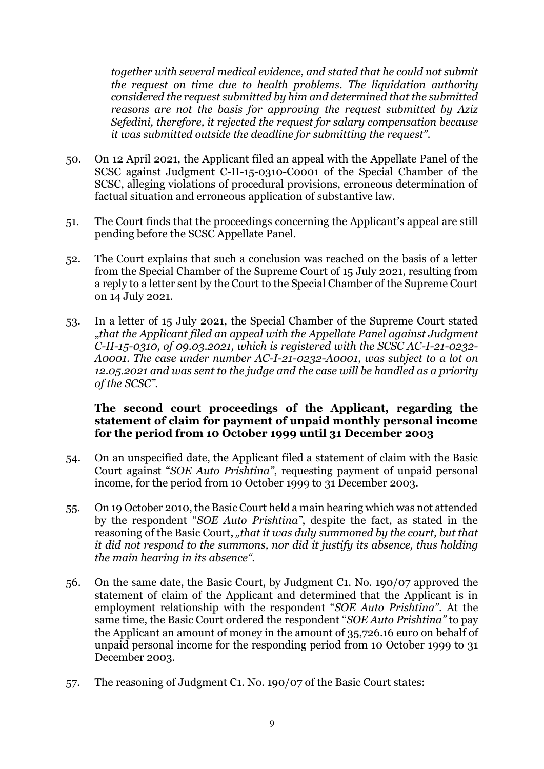*together with several medical evidence, and stated that he could not submit the request on time due to health problems. The liquidation authority considered the request submitted by him and determined that the submitted reasons are not the basis for approving the request submitted by Aziz Sefedini, therefore, it rejected the request for salary compensation because it was submitted outside the deadline for submitting the request".*

- 50. On 12 April 2021, the Applicant filed an appeal with the Appellate Panel of the SCSC against Judgment C-II-15-0310-C0001 of the Special Chamber of the SCSC, alleging violations of procedural provisions, erroneous determination of factual situation and erroneous application of substantive law.
- 51. The Court finds that the proceedings concerning the Applicant's appeal are still pending before the SCSC Appellate Panel.
- 52. The Court explains that such a conclusion was reached on the basis of a letter from the Special Chamber of the Supreme Court of 15 July 2021, resulting from a reply to a letter sent by the Court to the Special Chamber of the Supreme Court on 14 July 2021.
- 53. In a letter of 15 July 2021, the Special Chamber of the Supreme Court stated "*that the Applicant filed an appeal with the Appellate Panel against Judgment C-II-15-0310, of 09.03.2021, which is registered with the SCSC AC-I-21-0232- A0001. The case under number AC-I-21-0232-A0001, was subject to a lot on 12.05.2021 and was sent to the judge and the case will be handled as a priority of the SCSC".*

#### **The second court proceedings of the Applicant, regarding the statement of claim for payment of unpaid monthly personal income for the period from 10 October 1999 until 31 December 2003**

- 54. On an unspecified date, the Applicant filed a statement of claim with the Basic Court against "*SOE Auto Prishtina"*, requesting payment of unpaid personal income, for the period from 10 October 1999 to 31 December 2003.
- 55. On 19 October 2010, the Basic Court held a main hearing which was not attended by the respondent "*SOE Auto Prishtina"*, despite the fact, as stated in the reasoning of the Basic Court, *"that it was duly summoned by the court, but that it did not respond to the summons, nor did it justify its absence, thus holding the main hearing in its absence".*
- 56. On the same date, the Basic Court, by Judgment C1. No. 190/07 approved the statement of claim of the Applicant and determined that the Applicant is in employment relationship with the respondent "*SOE Auto Prishtina"*. At the same time, the Basic Court ordered the respondent "*SOE Auto Prishtina"* to pay the Applicant an amount of money in the amount of 35,726.16 euro on behalf of unpaid personal income for the responding period from 10 October 1999 to 31 December 2003.
- 57. The reasoning of Judgment C1. No. 190/07 of the Basic Court states: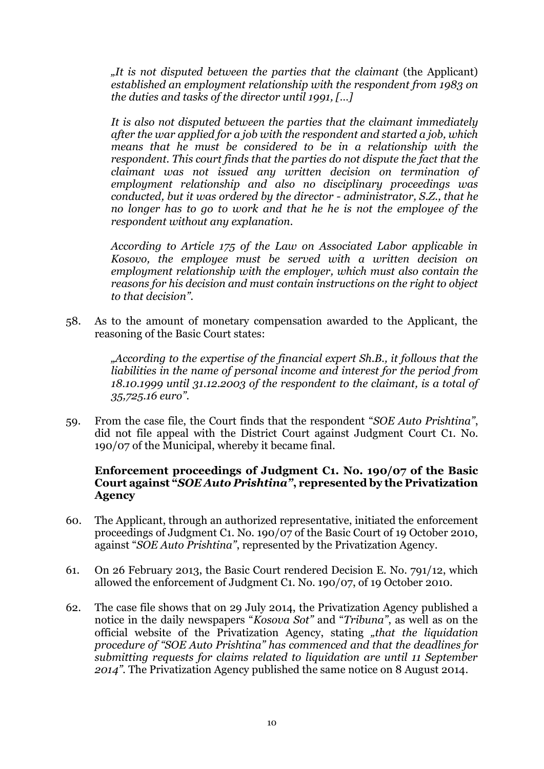*"It is not disputed between the parties that the claimant* (the Applicant) *established an employment relationship with the respondent from 1983 on the duties and tasks of the director until 1991, […]*

*It is also not disputed between the parties that the claimant immediately after the war applied for a job with the respondent and started a job, which means that he must be considered to be in a relationship with the respondent. This court finds that the parties do not dispute the fact that the claimant was not issued any written decision on termination of employment relationship and also no disciplinary proceedings was conducted, but it was ordered by the director - administrator, S.Z., that he no longer has to go to work and that he he is not the employee of the respondent without any explanation.*

*According to Article 175 of the Law on Associated Labor applicable in Kosovo, the employee must be served with a written decision on employment relationship with the employer, which must also contain the reasons for his decision and must contain instructions on the right to object to that decision".*

58. As to the amount of monetary compensation awarded to the Applicant, the reasoning of the Basic Court states:

> *"According to the expertise of the financial expert Sh.B., it follows that the liabilities in the name of personal income and interest for the period from 18.10.1999 until 31.12.2003 of the respondent to the claimant, is a total of 35,725.16 euro".*

59. From the case file, the Court finds that the respondent "*SOE Auto Prishtina"*, did not file appeal with the District Court against Judgment Court C1. No. 190/07 of the Municipal, whereby it became final.

## **Enforcement proceedings of Judgment C1. No. 190/07 of the Basic Court against "***SOE Auto Prishtina"***, represented by the Privatization Agency**

- 60. The Applicant, through an authorized representative, initiated the enforcement proceedings of Judgment C1. No. 190/07 of the Basic Court of 19 October 2010, against "*SOE Auto Prishtina"*, represented by the Privatization Agency.
- 61. On 26 February 2013, the Basic Court rendered Decision E. No. 791/12, which allowed the enforcement of Judgment C1. No. 190/07, of 19 October 2010.
- 62. The case file shows that on 29 July 2014, the Privatization Agency published a notice in the daily newspapers "*Kosova Sot"* and "*Tribuna"*, as well as on the official website of the Privatization Agency, stating *"that the liquidation procedure of "SOE Auto Prishtina" has commenced and that the deadlines for submitting requests for claims related to liquidation are until 11 September 2014".* The Privatization Agency published the same notice on 8 August 2014.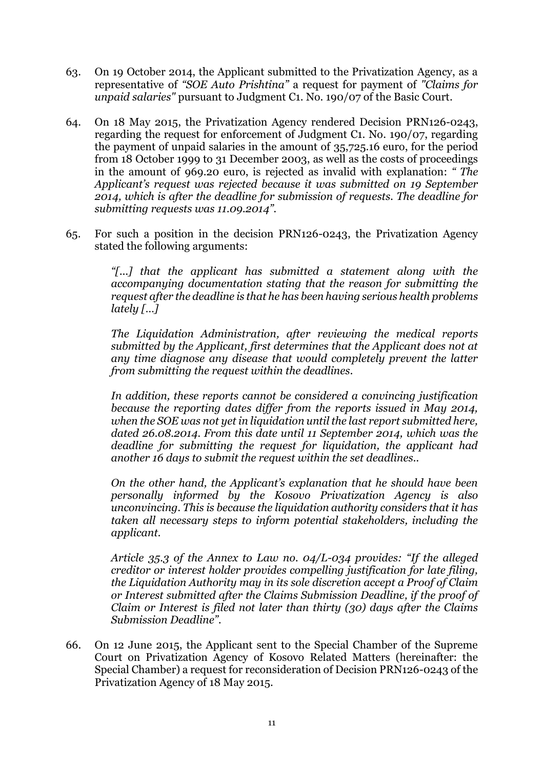- 63. On 19 October 2014, the Applicant submitted to the Privatization Agency, as a representative of *"SOE Auto Prishtina"* a request for payment of *"Claims for unpaid salaries"* pursuant to Judgment C1. No. 190/07 of the Basic Court.
- 64. On 18 May 2015, the Privatization Agency rendered Decision PRN126-0243, regarding the request for enforcement of Judgment C1. No. 190/07, regarding the payment of unpaid salaries in the amount of 35,725.16 euro, for the period from 18 October 1999 to 31 December 2003, as well as the costs of proceedings in the amount of 969.20 euro, is rejected as invalid with explanation: *" The Applicant's request was rejected because it was submitted on 19 September 2014, which is after the deadline for submission of requests. The deadline for submitting requests was 11.09.2014".*
- 65. For such a position in the decision PRN126-0243, the Privatization Agency stated the following arguments:

*"[...] that the applicant has submitted a statement along with the accompanying documentation stating that the reason for submitting the request after the deadline is that he has been having serious health problems lately […]*

*The Liquidation Administration, after reviewing the medical reports submitted by the Applicant, first determines that the Applicant does not at any time diagnose any disease that would completely prevent the latter from submitting the request within the deadlines.*

*In addition, these reports cannot be considered a convincing justification because the reporting dates differ from the reports issued in May 2014, when the SOE was not yet in liquidation until the last report submitted here, dated 26.08.2014. From this date until 11 September 2014, which was the deadline for submitting the request for liquidation, the applicant had another 16 days to submit the request within the set deadlines..*

*On the other hand, the Applicant's explanation that he should have been personally informed by the Kosovo Privatization Agency is also unconvincing. This is because the liquidation authority considers that it has taken all necessary steps to inform potential stakeholders, including the applicant.*

*Article 35.3 of the Annex to Law no. 04/L-034 provides: "If the alleged creditor or interest holder provides compelling justification for late filing, the Liquidation Authority may in its sole discretion accept a Proof of Claim or Interest submitted after the Claims Submission Deadline, if the proof of Claim or Interest is filed not later than thirty (30) days after the Claims Submission Deadline".*

66. On 12 June 2015, the Applicant sent to the Special Chamber of the Supreme Court on Privatization Agency of Kosovo Related Matters (hereinafter: the Special Chamber) a request for reconsideration of Decision PRN126-0243 of the Privatization Agency of 18 May 2015.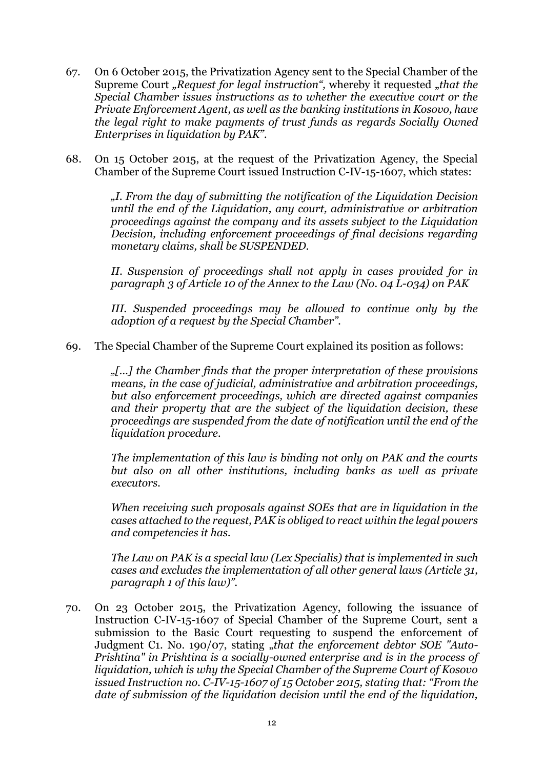- 67. On 6 October 2015, the Privatization Agency sent to the Special Chamber of the Supreme Court "Request for legal instruction", whereby it requested "that the *Special Chamber issues instructions as to whether the executive court or the Private Enforcement Agent, as well as the banking institutions in Kosovo, have the legal right to make payments of trust funds as regards Socially Owned Enterprises in liquidation by PAK".*
- 68. On 15 October 2015, at the request of the Privatization Agency, the Special Chamber of the Supreme Court issued Instruction C-IV-15-1607, which states:

*"I. From the day of submitting the notification of the Liquidation Decision until the end of the Liquidation, any court, administrative or arbitration proceedings against the company and its assets subject to the Liquidation Decision, including enforcement proceedings of final decisions regarding monetary claims, shall be SUSPENDED.*

*II. Suspension of proceedings shall not apply in cases provided for in paragraph 3 of Article 10 of the Annex to the Law (No. 04 L-034) on PAK*

*III. Suspended proceedings may be allowed to continue only by the adoption of a request by the Special Chamber".*

69. The Special Chamber of the Supreme Court explained its position as follows:

*"[…] the Chamber finds that the proper interpretation of these provisions means, in the case of judicial, administrative and arbitration proceedings, but also enforcement proceedings, which are directed against companies and their property that are the subject of the liquidation decision, these proceedings are suspended from the date of notification until the end of the liquidation procedure.*

*The implementation of this law is binding not only on PAK and the courts but also on all other institutions, including banks as well as private executors.*

*When receiving such proposals against SOEs that are in liquidation in the cases attached to the request, PAK is obliged to react within the legal powers and competencies it has.*

*The Law on PAK is a special law (Lex Specialis) that is implemented in such cases and excludes the implementation of all other general laws (Article 31, paragraph 1 of this law)".*

70. On 23 October 2015, the Privatization Agency, following the issuance of Instruction C-IV-15-1607 of Special Chamber of the Supreme Court, sent a submission to the Basic Court requesting to suspend the enforcement of Judgment C1. No. 190/07, stating "*that the enforcement debtor SOE "Auto-Prishtina" in Prishtina is a socially-owned enterprise and is in the process of liquidation, which is why the Special Chamber of the Supreme Court of Kosovo issued Instruction no. C-IV-15-1607 of 15 October 2015, stating that: "From the date of submission of the liquidation decision until the end of the liquidation,*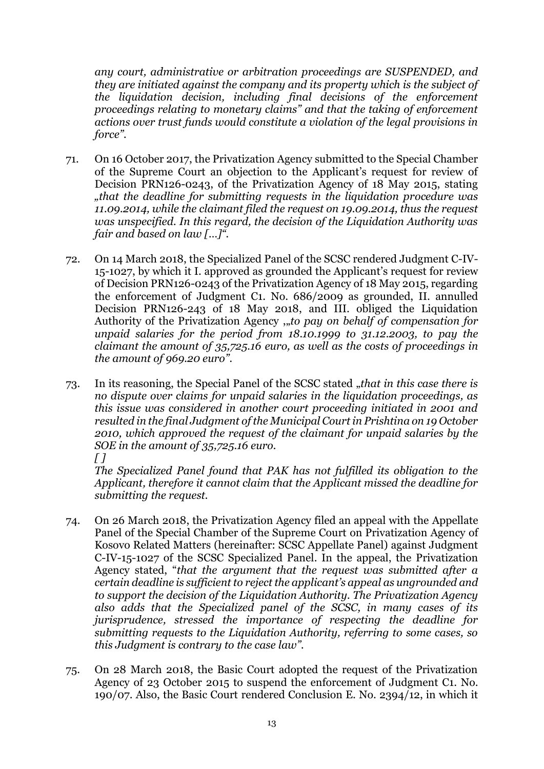*any court, administrative or arbitration proceedings are SUSPENDED, and they are initiated against the company and its property which is the subject of the liquidation decision, including final decisions of the enforcement proceedings relating to monetary claims" and that the taking of enforcement actions over trust funds would constitute a violation of the legal provisions in force".*

- 71. On 16 October 2017, the Privatization Agency submitted to the Special Chamber of the Supreme Court an objection to the Applicant's request for review of Decision PRN126-0243, of the Privatization Agency of 18 May 2015, stating *"that the deadline for submitting requests in the liquidation procedure was 11.09.2014, while the claimant filed the request on 19.09.2014, thus the request was unspecified. In this regard, the decision of the Liquidation Authority was fair and based on law […]".*
- 72. On 14 March 2018, the Specialized Panel of the SCSC rendered Judgment C-IV-15-1027, by which it I. approved as grounded the Applicant's request for review of Decision PRN126-0243 of the Privatization Agency of 18 May 2015, regarding the enforcement of Judgment C1. No. 686/2009 as grounded, II. annulled Decision PRN126-243 of 18 May 2018, and III. obliged the Liquidation Authority of the Privatization Agency ,,to pay on behalf of compensation for *unpaid salaries for the period from 18.10.1999 to 31.12.2003, to pay the claimant the amount of 35,725.16 euro, as well as the costs of proceedings in the amount of 969.20 euro".*
- 73. In its reasoning, the Special Panel of the SCSC stated "*that in this case there is no dispute over claims for unpaid salaries in the liquidation proceedings, as this issue was considered in another court proceeding initiated in 2001 and resulted in the final Judgment of the Municipal Court in Prishtina on 19 October 2010, which approved the request of the claimant for unpaid salaries by the SOE in the amount of 35,725.16 euro. [ ]*

*The Specialized Panel found that PAK has not fulfilled its obligation to the Applicant, therefore it cannot claim that the Applicant missed the deadline for submitting the request.*

- 74. On 26 March 2018, the Privatization Agency filed an appeal with the Appellate Panel of the Special Chamber of the Supreme Court on Privatization Agency of Kosovo Related Matters (hereinafter: SCSC Appellate Panel) against Judgment C-IV-15-1027 of the SCSC Specialized Panel. In the appeal, the Privatization Agency stated, "*that the argument that the request was submitted after a certain deadline is sufficient to reject the applicant's appeal as ungrounded and to support the decision of the Liquidation Authority. The Privatization Agency also adds that the Specialized panel of the SCSC, in many cases of its jurisprudence, stressed the importance of respecting the deadline for submitting requests to the Liquidation Authority, referring to some cases, so this Judgment is contrary to the case law".*
- 75. On 28 March 2018, the Basic Court adopted the request of the Privatization Agency of 23 October 2015 to suspend the enforcement of Judgment C1. No. 190/07. Also, the Basic Court rendered Conclusion E. No. 2394/12, in which it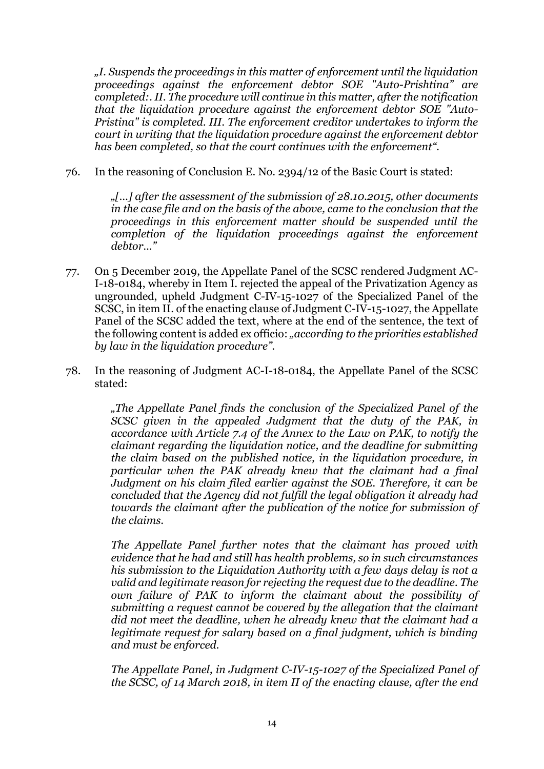*"I. Suspends the proceedings in this matter of enforcement until the liquidation proceedings against the enforcement debtor SOE "Auto-Prishtina" are completed:. II. The procedure will continue in this matter, after the notification that the liquidation procedure against the enforcement debtor SOE "Auto-Pristina" is completed. III. The enforcement creditor undertakes to inform the court in writing that the liquidation procedure against the enforcement debtor has been completed, so that the court continues with the enforcement".*

76. In the reasoning of Conclusion E. No. 2394/12 of the Basic Court is stated:

*"[…] after the assessment of the submission of 28.10.2015, other documents in the case file and on the basis of the above, came to the conclusion that the proceedings in this enforcement matter should be suspended until the completion of the liquidation proceedings against the enforcement debtor…"*

- 77. On 5 December 2019, the Appellate Panel of the SCSC rendered Judgment AC-I-18-0184, whereby in Item I. rejected the appeal of the Privatization Agency as ungrounded, upheld Judgment C-IV-15-1027 of the Specialized Panel of the SCSC, in item II. of the enacting clause of Judgment C-IV-15-1027, the Appellate Panel of the SCSC added the text, where at the end of the sentence, the text of the following content is added ex officio: *"according to the priorities established by law in the liquidation procedure".*
- 78. In the reasoning of Judgment AC-I-18-0184, the Appellate Panel of the SCSC stated:

*"The Appellate Panel finds the conclusion of the Specialized Panel of the SCSC given in the appealed Judgment that the duty of the PAK, in accordance with Article 7.4 of the Annex to the Law on PAK, to notify the claimant regarding the liquidation notice, and the deadline for submitting the claim based on the published notice, in the liquidation procedure, in particular when the PAK already knew that the claimant had a final Judgment on his claim filed earlier against the SOE. Therefore, it can be concluded that the Agency did not fulfill the legal obligation it already had towards the claimant after the publication of the notice for submission of the claims.*

*The Appellate Panel further notes that the claimant has proved with evidence that he had and still has health problems, so in such circumstances his submission to the Liquidation Authority with a few days delay is not a valid and legitimate reason for rejecting the request due to the deadline. The own failure of PAK to inform the claimant about the possibility of submitting a request cannot be covered by the allegation that the claimant did not meet the deadline, when he already knew that the claimant had a legitimate request for salary based on a final judgment, which is binding and must be enforced.*

*The Appellate Panel, in Judgment C-IV-15-1027 of the Specialized Panel of the SCSC, of 14 March 2018, in item II of the enacting clause, after the end*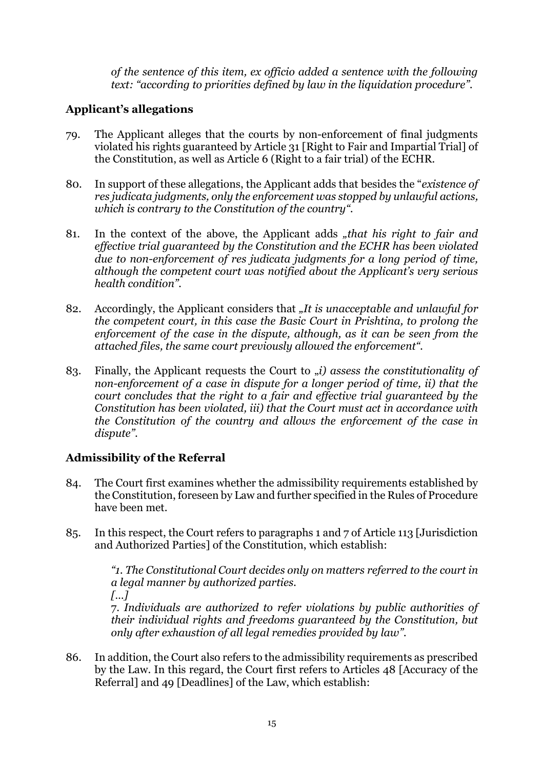*of the sentence of this item, ex officio added a sentence with the following text: "according to priorities defined by law in the liquidation procedure".*

# **Applicant's allegations**

- 79. The Applicant alleges that the courts by non-enforcement of final judgments violated his rights guaranteed by Article 31 [Right to Fair and Impartial Trial] of the Constitution, as well as Article 6 (Right to a fair trial) of the ECHR.
- 80. In support of these allegations, the Applicant adds that besides the "*existence of res judicata judgments, only the enforcement was stopped by unlawful actions, which is contrary to the Constitution of the country".*
- 81. In the context of the above, the Applicant adds *"that his right to fair and effective trial guaranteed by the Constitution and the ECHR has been violated due to non-enforcement of res judicata judgments for a long period of time, although the competent court was notified about the Applicant's very serious health condition".*
- 82. Accordingly, the Applicant considers that "It is unacceptable and unlawful for *the competent court, in this case the Basic Court in Prishtina, to prolong the enforcement of the case in the dispute, although, as it can be seen from the attached files, the same court previously allowed the enforcement".*
- 83. Finally, the Applicant requests the Court to *(i)* assess the constitutionality of *non-enforcement of a case in dispute for a longer period of time, ii) that the court concludes that the right to a fair and effective trial guaranteed by the Constitution has been violated, iii) that the Court must act in accordance with the Constitution of the country and allows the enforcement of the case in dispute"*.

# **Admissibility of the Referral**

- 84. The Court first examines whether the admissibility requirements established by the Constitution, foreseen by Law and further specified in the Rules of Procedure have been met.
- 85. In this respect, the Court refers to paragraphs 1 and 7 of Article 113 [Jurisdiction and Authorized Parties] of the Constitution, which establish:

*"1. The Constitutional Court decides only on matters referred to the court in a legal manner by authorized parties. […]*

7. *Individuals are authorized to refer violations by public authorities of their individual rights and freedoms guaranteed by the Constitution, but only after exhaustion of all legal remedies provided by law".*

86. In addition, the Court also refers to the admissibility requirements as prescribed by the Law. In this regard, the Court first refers to Articles 48 [Accuracy of the Referral] and 49 [Deadlines] of the Law, which establish: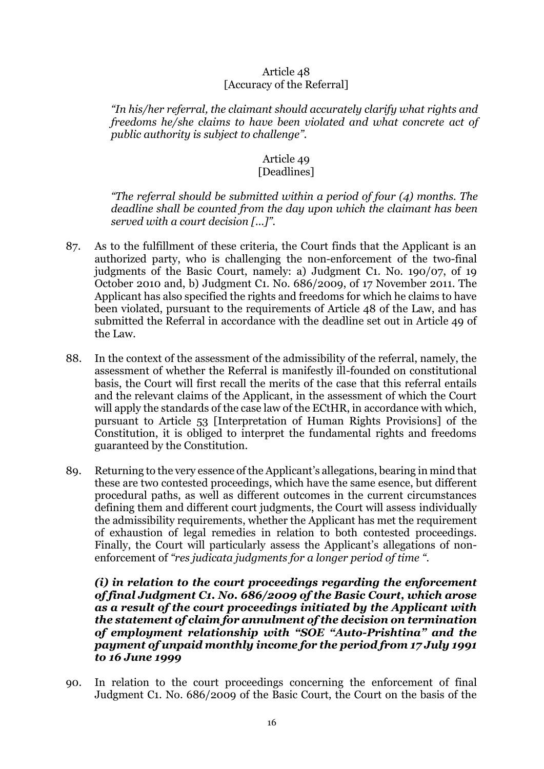#### Article 48 [Accuracy of the Referral]

*"In his/her referral, the claimant should accurately clarify what rights and freedoms he/she claims to have been violated and what concrete act of public authority is subject to challenge".* 

# Article 49

# [Deadlines]

*"The referral should be submitted within a period of four (4) months. The deadline shall be counted from the day upon which the claimant has been served with a court decision [...]".*

- 87. As to the fulfillment of these criteria, the Court finds that the Applicant is an authorized party, who is challenging the non-enforcement of the two-final judgments of the Basic Court, namely: a) Judgment C1. No. 190/07, of 19 October 2010 and, b) Judgment C1. No. 686/2009, of 17 November 2011. The Applicant has also specified the rights and freedoms for which he claims to have been violated, pursuant to the requirements of Article 48 of the Law, and has submitted the Referral in accordance with the deadline set out in Article 49 of the Law.
- 88. In the context of the assessment of the admissibility of the referral, namely, the assessment of whether the Referral is manifestly ill-founded on constitutional basis, the Court will first recall the merits of the case that this referral entails and the relevant claims of the Applicant, in the assessment of which the Court will apply the standards of the case law of the ECtHR, in accordance with which, pursuant to Article 53 [Interpretation of Human Rights Provisions] of the Constitution, it is obliged to interpret the fundamental rights and freedoms guaranteed by the Constitution.
- 89. Returning to the very essence of the Applicant's allegations, bearing in mind that these are two contested proceedings, which have the same esence, but different procedural paths, as well as different outcomes in the current circumstances defining them and different court judgments, the Court will assess individually the admissibility requirements, whether the Applicant has met the requirement of exhaustion of legal remedies in relation to both contested proceedings. Finally, the Court will particularly assess the Applicant's allegations of nonenforcement of *"res judicata judgments for a longer period of time ".*

*(i) in relation to the court proceedings regarding the enforcement of final Judgment C1. No. 686/2009 of the Basic Court, which arose as a result of the court proceedings initiated by the Applicant with the statement of claim for annulment of the decision on termination of employment relationship with "SOE "Auto-Prishtina" and the payment of unpaid monthly income for the period from 17 July 1991 to 16 June 1999*

90. In relation to the court proceedings concerning the enforcement of final Judgment C1. No. 686/2009 of the Basic Court, the Court on the basis of the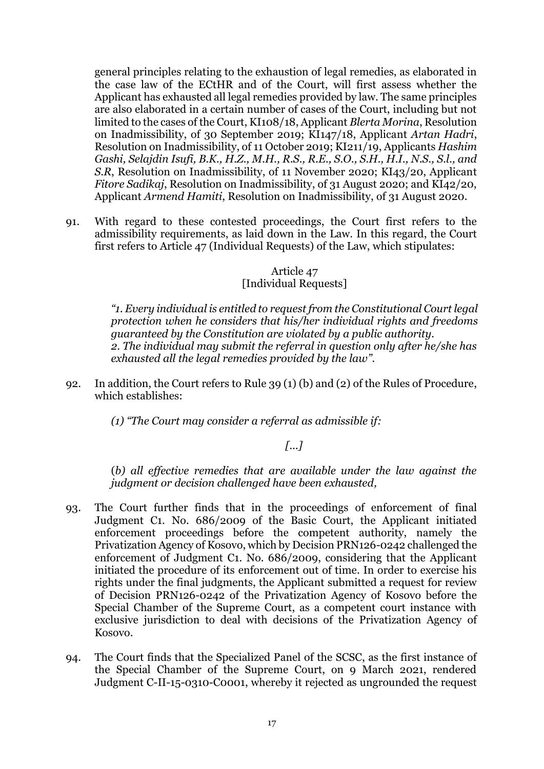general principles relating to the exhaustion of legal remedies, as elaborated in the case law of the ECtHR and of the Court, will first assess whether the Applicant has exhausted all legal remedies provided by law. The same principles are also elaborated in a certain number of cases of the Court, including but not limited to the cases of the Court, KI108/18, Applicant *Blerta Morina*, Resolution on Inadmissibility, of 30 September 2019; KI147/18, Applicant *Artan Hadri*, Resolution on Inadmissibility, of 11 October 2019; KI211/19, Applicants *Hashim Gashi, Selajdin Isufi, B.K., H.Z., M.H., R.S., R.E., S.O., S.H., H.I., N.S., S.l., and S.R*, Resolution on Inadmissibility, of 11 November 2020; KI43/20, Applicant *Fitore Sadikaj*, Resolution on Inadmissibility, of 31 August 2020; and KI42/20, Applicant *Armend Hamiti*, Resolution on Inadmissibility, of 31 August 2020.

91. With regard to these contested proceedings, the Court first refers to the admissibility requirements, as laid down in the Law. In this regard, the Court first refers to Article 47 (Individual Requests) of the Law, which stipulates:

#### Article 47 [Individual Requests]

*"1. Every individual is entitled to request from the Constitutional Court legal protection when he considers that his/her individual rights and freedoms guaranteed by the Constitution are violated by a public authority. 2. The individual may submit the referral in question only after he/she has exhausted all the legal remedies provided by the law".*

92. In addition, the Court refers to Rule 39 (1) (b) and (2) of the Rules of Procedure, which establishes:

*(1) "The Court may consider a referral as admissible if:*

# *[...]*

(*b) all effective remedies that are available under the law against the judgment or decision challenged have been exhausted,*

- 93. The Court further finds that in the proceedings of enforcement of final Judgment C1. No. 686/2009 of the Basic Court, the Applicant initiated enforcement proceedings before the competent authority, namely the Privatization Agency of Kosovo, which by Decision PRN126-0242 challenged the enforcement of Judgment C1. No. 686/2009, considering that the Applicant initiated the procedure of its enforcement out of time. In order to exercise his rights under the final judgments, the Applicant submitted a request for review of Decision PRN126-0242 of the Privatization Agency of Kosovo before the Special Chamber of the Supreme Court, as a competent court instance with exclusive jurisdiction to deal with decisions of the Privatization Agency of Kosovo.
- 94. The Court finds that the Specialized Panel of the SCSC, as the first instance of the Special Chamber of the Supreme Court, on 9 March 2021, rendered Judgment C-II-15-0310-C0001, whereby it rejected as ungrounded the request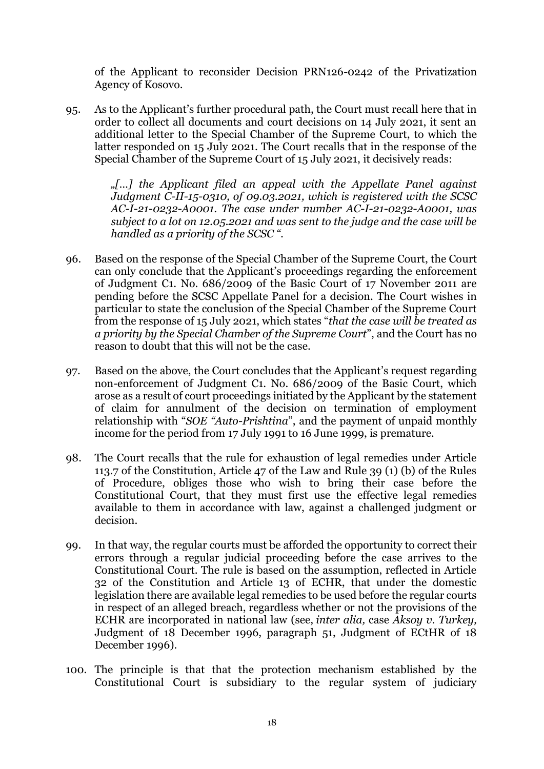of the Applicant to reconsider Decision PRN126-0242 of the Privatization Agency of Kosovo.

95. As to the Applicant's further procedural path, the Court must recall here that in order to collect all documents and court decisions on 14 July 2021, it sent an additional letter to the Special Chamber of the Supreme Court, to which the latter responded on 15 July 2021. The Court recalls that in the response of the Special Chamber of the Supreme Court of 15 July 2021, it decisively reads:

> *"[…] the Applicant filed an appeal with the Appellate Panel against Judgment C-II-15-0310, of 09.03.2021, which is registered with the SCSC AC-I-21-0232-A0001. The case under number AC-I-21-0232-A0001, was subject to a lot on 12.05.2021 and was sent to the judge and the case will be handled as a priority of the SCSC ".*

- 96. Based on the response of the Special Chamber of the Supreme Court, the Court can only conclude that the Applicant's proceedings regarding the enforcement of Judgment C1. No. 686/2009 of the Basic Court of 17 November 2011 are pending before the SCSC Appellate Panel for a decision. The Court wishes in particular to state the conclusion of the Special Chamber of the Supreme Court from the response of 15 July 2021, which states "*that the case will be treated as a priority by the Special Chamber of the Supreme Court*", and the Court has no reason to doubt that this will not be the case.
- 97. Based on the above, the Court concludes that the Applicant's request regarding non-enforcement of Judgment C1. No. 686/2009 of the Basic Court, which arose as a result of court proceedings initiated by the Applicant by the statement of claim for annulment of the decision on termination of employment relationship with "*SOE "Auto-Prishtina*", and the payment of unpaid monthly income for the period from 17 July 1991 to 16 June 1999, is premature.
- 98. The Court recalls that the rule for exhaustion of legal remedies under Article 113.7 of the Constitution, Article 47 of the Law and Rule 39 (1) (b) of the Rules of Procedure, obliges those who wish to bring their case before the Constitutional Court, that they must first use the effective legal remedies available to them in accordance with law, against a challenged judgment or decision.
- 99. In that way, the regular courts must be afforded the opportunity to correct their errors through a regular judicial proceeding before the case arrives to the Constitutional Court. The rule is based on the assumption, reflected in Article 32 of the Constitution and Article 13 of ECHR, that under the domestic legislation there are available legal remedies to be used before the regular courts in respect of an alleged breach, regardless whether or not the provisions of the ECHR are incorporated in national law (see, *inter alia,* case *Aksoy v. Turkey,*  Judgment of 18 December 1996, paragraph 51, Judgment of ECtHR of 18 December 1996).
- 100. The principle is that that the protection mechanism established by the Constitutional Court is subsidiary to the regular system of judiciary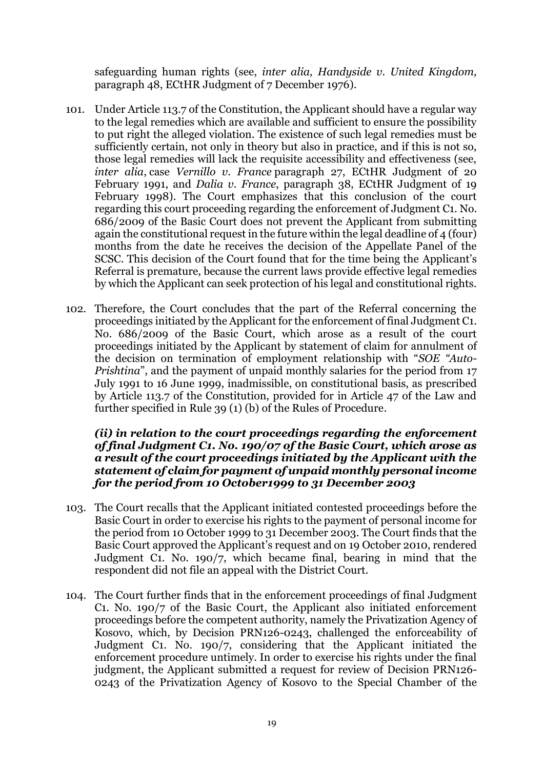safeguarding human rights (see, *inter alia, Handyside v. United Kingdom,* paragraph 48, ECtHR Judgment of 7 December 1976).

- 101. Under Article 113.7 of the Constitution, the Applicant should have a regular way to the legal remedies which are available and sufficient to ensure the possibility to put right the alleged violation. The existence of such legal remedies must be sufficiently certain, not only in theory but also in practice, and if this is not so, those legal remedies will lack the requisite accessibility and effectiveness (see, *inter alia*, case *Vernillo v. France* paragraph 27, ECtHR Judgment of 20 February 1991, and *Dalia v. France*, paragraph 38, ECtHR Judgment of 19 February 1998). The Court emphasizes that this conclusion of the court regarding this court proceeding regarding the enforcement of Judgment C1. No. 686/2009 of the Basic Court does not prevent the Applicant from submitting again the constitutional request in the future within the legal deadline of 4 (four) months from the date he receives the decision of the Appellate Panel of the SCSC. This decision of the Court found that for the time being the Applicant's Referral is premature, because the current laws provide effective legal remedies by which the Applicant can seek protection of his legal and constitutional rights.
- 102. Therefore, the Court concludes that the part of the Referral concerning the proceedings initiated by the Applicant for the enforcement of final Judgment C1. No. 686/2009 of the Basic Court, which arose as a result of the court proceedings initiated by the Applicant by statement of claim for annulment of the decision on termination of employment relationship with "*SOE "Auto-Prishtina*", and the payment of unpaid monthly salaries for the period from 17 July 1991 to 16 June 1999, inadmissible, on constitutional basis, as prescribed by Article 113.7 of the Constitution, provided for in Article 47 of the Law and further specified in Rule 39 (1) (b) of the Rules of Procedure.

#### *(ii) in relation to the court proceedings regarding the enforcement of final Judgment C1. No. 190/07 of the Basic Court, which arose as a result of the court proceedings initiated by the Applicant with the statement of claim for payment of unpaid monthly personal income for the period from 10 October1999 to 31 December 2003*

- 103. The Court recalls that the Applicant initiated contested proceedings before the Basic Court in order to exercise his rights to the payment of personal income for the period from 10 October 1999 to 31 December 2003. The Court finds that the Basic Court approved the Applicant's request and on 19 October 2010, rendered Judgment C1. No. 190/7, which became final, bearing in mind that the respondent did not file an appeal with the District Court.
- 104. The Court further finds that in the enforcement proceedings of final Judgment C1. No. 190/7 of the Basic Court, the Applicant also initiated enforcement proceedings before the competent authority, namely the Privatization Agency of Kosovo, which, by Decision PRN126-0243, challenged the enforceability of Judgment C1. No. 190/7, considering that the Applicant initiated the enforcement procedure untimely. In order to exercise his rights under the final judgment, the Applicant submitted a request for review of Decision PRN126- 0243 of the Privatization Agency of Kosovo to the Special Chamber of the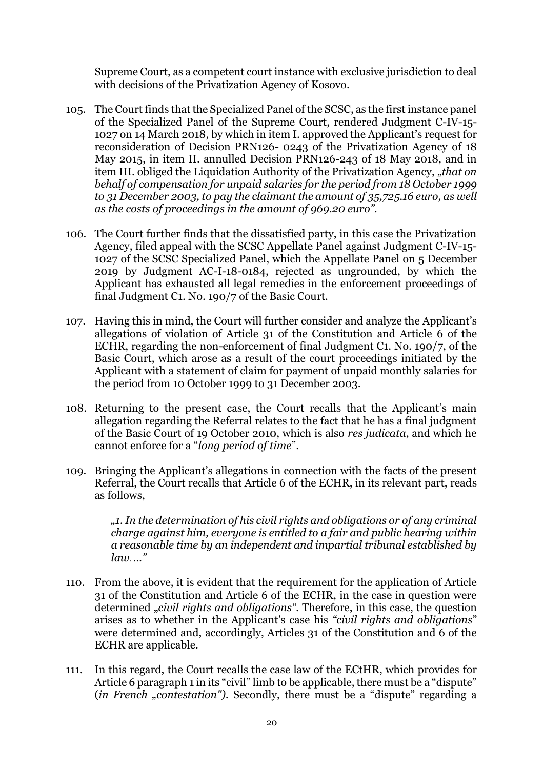Supreme Court, as a competent court instance with exclusive jurisdiction to deal with decisions of the Privatization Agency of Kosovo.

- 105. The Court finds that the Specialized Panel of the SCSC, as the first instance panel of the Specialized Panel of the Supreme Court, rendered Judgment C-IV-15- 1027 on 14 March 2018, by which in item I. approved the Applicant's request for reconsideration of Decision PRN126- 0243 of the Privatization Agency of 18 May 2015, in item II. annulled Decision PRN126-243 of 18 May 2018, and in item III. obliged the Liquidation Authority of the Privatization Agency, "that on *behalf of compensation for unpaid salaries for the period from 18 October 1999 to 31 December 2003, to pay the claimant the amount of 35,725.16 euro, as well as the costs of proceedings in the amount of 969.20 euro".*
- 106. The Court further finds that the dissatisfied party, in this case the Privatization Agency, filed appeal with the SCSC Appellate Panel against Judgment C-IV-15- 1027 of the SCSC Specialized Panel, which the Appellate Panel on 5 December 2019 by Judgment AC-I-18-0184, rejected as ungrounded, by which the Applicant has exhausted all legal remedies in the enforcement proceedings of final Judgment C1. No. 190/7 of the Basic Court.
- 107. Having this in mind, the Court will further consider and analyze the Applicant's allegations of violation of Article 31 of the Constitution and Article 6 of the ECHR, regarding the non-enforcement of final Judgment C1. No. 190/7, of the Basic Court, which arose as a result of the court proceedings initiated by the Applicant with a statement of claim for payment of unpaid monthly salaries for the period from 10 October 1999 to 31 December 2003.
- 108. Returning to the present case, the Court recalls that the Applicant's main allegation regarding the Referral relates to the fact that he has a final judgment of the Basic Court of 19 October 2010, which is also *res judicata*, and which he cannot enforce for a "*long period of time*".
- 109. Bringing the Applicant's allegations in connection with the facts of the present Referral, the Court recalls that Article 6 of the ECHR, in its relevant part, reads as follows,

*"1. In the determination of his civil rights and obligations or of any criminal charge against him, everyone is entitled to a fair and public hearing within a reasonable time by an independent and impartial tribunal established by law*. *…"*

- 110. From the above, it is evident that the requirement for the application of Article 31 of the Constitution and Article 6 of the ECHR, in the case in question were determined *"civil rights and obligations*". Therefore, in this case, the question arises as to whether in the Applicant's case his *"civil rights and obligations*" were determined and, accordingly, Articles 31 of the Constitution and 6 of the ECHR are applicable.
- 111. In this regard, the Court recalls the case law of the ECtHR, which provides for Article 6 paragraph 1 in its "civil" limb to be applicable, there must be a "dispute" (*in French "contestation"*). Secondly, there must be a "dispute" regarding a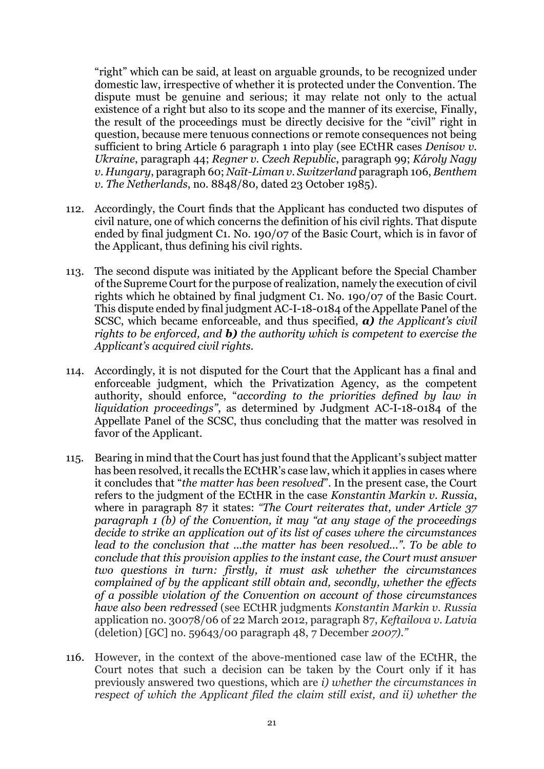"right" which can be said, at least on arguable grounds, to be recognized under domestic law, irrespective of whether it is protected under the Convention. The dispute must be genuine and serious; it may relate not only to the actual existence of a right but also to its scope and the manner of its exercise, Finally, the result of the proceedings must be directly decisive for the "civil" right in question, because mere tenuous connections or remote consequences not being sufficient to bring Article 6 paragraph 1 into play (see ECtHR cases *Denisov v. Ukraine*, paragraph 44; *Regner v. Czech Republic*, paragraph 99; *Károly Nagy v. Hungary*, paragraph 60; *Naït-Liman v. Switzerland* paragraph 106, *Benthem v. The Netherlands*, no. 8848/80, dated 23 October 1985).

- 112. Accordingly, the Court finds that the Applicant has conducted two disputes of civil nature, one of which concerns the definition of his civil rights. That dispute ended by final judgment C1. No. 190/07 of the Basic Court, which is in favor of the Applicant, thus defining his civil rights.
- 113. The second dispute was initiated by the Applicant before the Special Chamber of the Supreme Court for the purpose of realization, namely the execution of civil rights which he obtained by final judgment C1. No. 190/07 of the Basic Court. This dispute ended by final judgment AC-I-18-0184 of the Appellate Panel of the SCSC, which became enforceable, and thus specified, *a) the Applicant's civil rights to be enforced, and b) the authority which is competent to exercise the Applicant's acquired civil rights.*
- 114. Accordingly, it is not disputed for the Court that the Applicant has a final and enforceable judgment, which the Privatization Agency, as the competent authority, should enforce, "*according to the priorities defined by law in liquidation proceedings"*, as determined by Judgment AC-I-18-0184 of the Appellate Panel of the SCSC, thus concluding that the matter was resolved in favor of the Applicant.
- 115. Bearing in mind that the Court has just found that the Applicant's subject matter has been resolved, it recalls the ECtHR's case law, which it applies in cases where it concludes that "*the matter has been resolved*". In the present case, the Court refers to the judgment of the ECtHR in the case *Konstantin Markin v. Russia*, where in paragraph 87 it states: *"The Court reiterates that, under Article 37 paragraph 1 (b) of the Convention, it may "at any stage of the proceedings decide to strike an application out of its list of cases where the circumstances lead to the conclusion that ...the matter has been resolved...". To be able to conclude that this provision applies to the instant case, the Court must answer two questions in turn: firstly, it must ask whether the circumstances complained of by the applicant still obtain and, secondly, whether the effects of a possible violation of the Convention on account of those circumstances have also been redressed* (see ECtHR judgments *Konstantin Markin v. Russia* application no. 30078/06 of 22 March 2012, paragraph 87, *Keftailova v. Latvia* (deletion) [GC] no. 59643/00 paragraph 48, 7 December *2007)."*
- 116. However, in the context of the above-mentioned case law of the ECtHR, the Court notes that such a decision can be taken by the Court only if it has previously answered two questions, which are *i) whether the circumstances in respect of which the Applicant filed the claim still exist, and ii) whether the*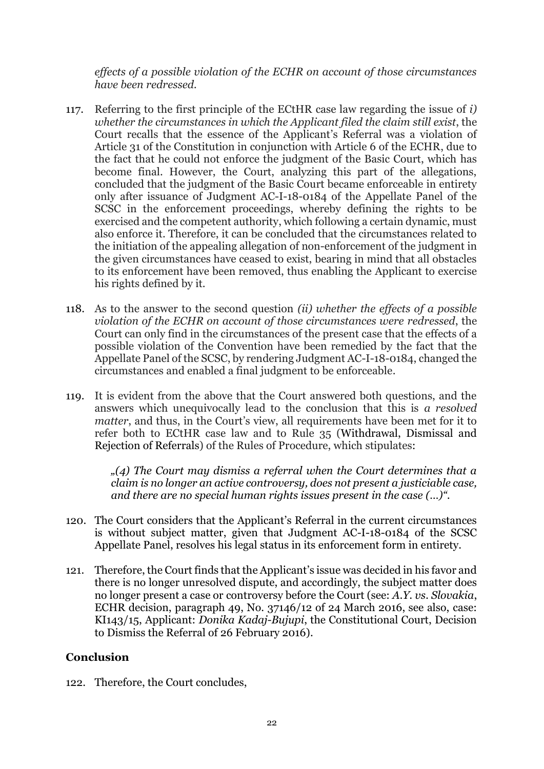*effects of a possible violation of the ECHR on account of those circumstances have been redressed.*

- 117. Referring to the first principle of the ECtHR case law regarding the issue of *i) whether the circumstances in which the Applicant filed the claim still exist*, the Court recalls that the essence of the Applicant's Referral was a violation of Article 31 of the Constitution in conjunction with Article 6 of the ECHR, due to the fact that he could not enforce the judgment of the Basic Court, which has become final. However, the Court, analyzing this part of the allegations, concluded that the judgment of the Basic Court became enforceable in entirety only after issuance of Judgment AC-I-18-0184 of the Appellate Panel of the SCSC in the enforcement proceedings, whereby defining the rights to be exercised and the competent authority, which following a certain dynamic, must also enforce it. Therefore, it can be concluded that the circumstances related to the initiation of the appealing allegation of non-enforcement of the judgment in the given circumstances have ceased to exist, bearing in mind that all obstacles to its enforcement have been removed, thus enabling the Applicant to exercise his rights defined by it.
- 118. As to the answer to the second question *(ii) whether the effects of a possible violation of the ECHR on account of those circumstances were redressed*, the Court can only find in the circumstances of the present case that the effects of a possible violation of the Convention have been remedied by the fact that the Appellate Panel of the SCSC, by rendering Judgment AC-I-18-0184, changed the circumstances and enabled a final judgment to be enforceable.
- 119. It is evident from the above that the Court answered both questions, and the answers which unequivocally lead to the conclusion that this is *a resolved matter*, and thus, in the Court's view, all requirements have been met for it to refer both to ECtHR case law and to Rule 35 (Withdrawal, Dismissal and Rejection of Referrals) of the Rules of Procedure, which stipulates:

*"(4) The Court may dismiss a referral when the Court determines that a claim is no longer an active controversy, does not present a justiciable case, and there are no special human rights issues present in the case (…)".*

- 120. The Court considers that the Applicant's Referral in the current circumstances is without subject matter, given that Judgment AC-I-18-0184 of the SCSC Appellate Panel, resolves his legal status in its enforcement form in entirety.
- 121. Therefore, the Court finds that the Applicant's issue was decided in his favor and there is no longer unresolved dispute, and accordingly, the subject matter does no longer present a case or controversy before the Court (see: *A.Y. vs. Slovakia*, ECHR decision, paragraph 49, No. 37146/12 of 24 March 2016, see also, case: KI143/15, Applicant: *Donika Kadaj-Bujupi*, the Constitutional Court, Decision to Dismiss the Referral of 26 February 2016).

## **Conclusion**

122. Therefore, the Court concludes,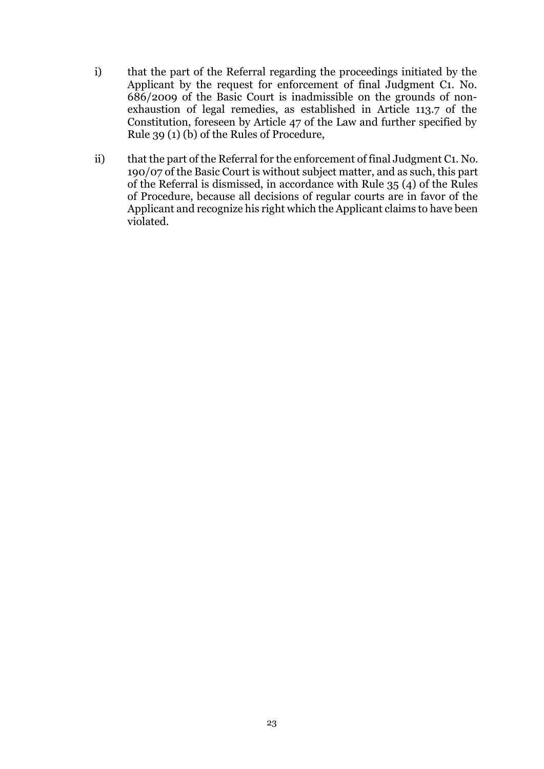- i) that the part of the Referral regarding the proceedings initiated by the Applicant by the request for enforcement of final Judgment C1. No. 686/2009 of the Basic Court is inadmissible on the grounds of nonexhaustion of legal remedies, as established in Article 113.7 of the Constitution, foreseen by Article 47 of the Law and further specified by Rule 39 (1) (b) of the Rules of Procedure,
- ii) that the part of the Referral for the enforcement of final Judgment C1. No. 190/07 of the Basic Court is without subject matter, and as such, this part of the Referral is dismissed, in accordance with Rule 35 (4) of the Rules of Procedure, because all decisions of regular courts are in favor of the Applicant and recognize his right which the Applicant claims to have been violated.